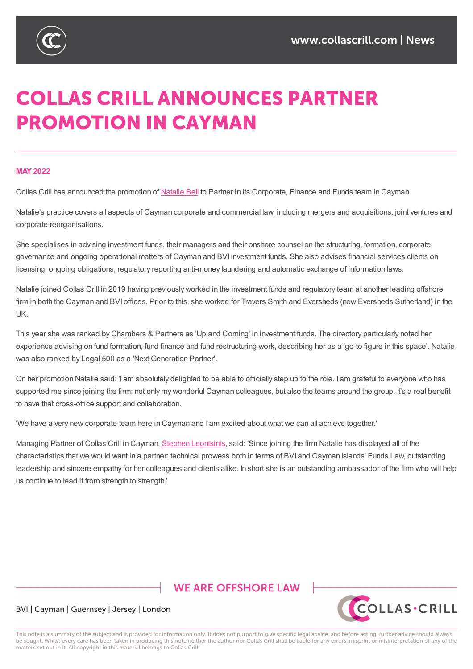

# **COLLAS CRILL ANNOUNCES PARTNER PROMOTION IN CAYMAN**

#### **MAY2022**

Collas Crill has announced the promotion of Natalie Bell to Partner in its Corporate, Finance and Funds team in Cayman.

Natalie's practice covers all aspects of Cayman corporate and commercial law, including mergers and acquisitions, joint ventures and corporate reorganisations.

She specialises in advising investment funds, their managers and their onshore counsel on the structuring, formation, corporate governance and ongoing operational matters of Cayman and BVI investment funds. She also advises financial services clients on licensing, ongoing obligations, regulatory reporting anti-money laundering and automatic exchange of information laws.

Natalie joined Collas Crill in 2019 having previously worked in the investment funds and regulatory team at another leading offshore firm in both the Cayman and BVI offices. Prior to this, she worked for Travers Smith and Eversheds (now Eversheds Sutherland) in the UK.

This year she was ranked by Chambers & Partners as 'Up and Coming' in investment funds. The directory particularly noted her experience advising on fund formation, fund finance and fund restructuring work, describing her as a 'go-to figure in this space'. Natalie was also ranked by Legal 500 as a 'Next Generation Partner'.

On her promotion Natalie said: 'I am absolutely delighted to be able to officially step up to the role. I am grateful to everyone who has supported me since joining the firm; not only my wonderful Cayman colleagues, but also the teams around the group. It's a real benefit to have that cross-office support and collaboration.

'We have a very new corporate team here in Cayman and I am excited about what we can all achieve together.'

Managing Partner of Collas Crill in Cayman, Stephen Leontsinis, said: 'Since joining the firm Natalie has displayed all of the characteristics that we would want in a partner: technical prowess both in terms of BVI and Cayman Islands' Funds Law, outstanding leadership and sincere empathy for her colleagues and clients alike. In short she is an outstanding ambassador of the firm who will help us continue to lead it from strength to strengt[h.'](https://www.collascrill.com/who-we-are/l/stephen-leontsinis/)

# **WE ARE OFFSHORE LAW**



## BVI | Cayman | Guernsey | Jersey | London

This note is a summary of the subject and is provided for information only. It does not purport to give specific legal advice, and before acting, further advice should always be sought. Whilst every care has been taken in producing this note neither the author nor Collas Crill shall be liable for any errors, misprint or misinterpretation of any of the matters set out in it. All copyright in this material belongs to Collas Crill.